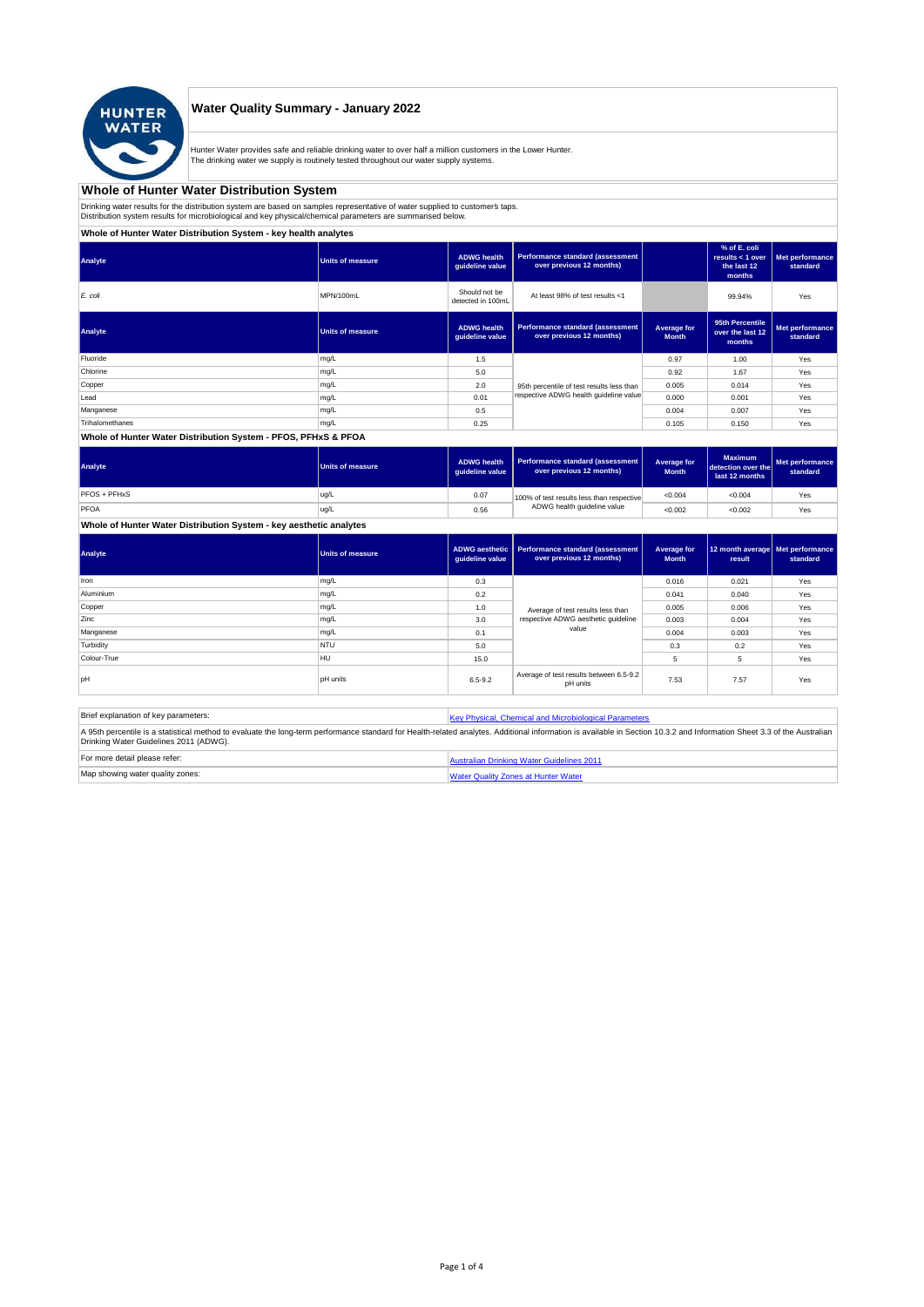

## **Water Quality Summary - January 2022**

Hunter Water provides safe and reliable drinking water to over half a million customers in the Lower Hunter. The drinking water we supply is routinely tested throughout our water supply systems.

# **Whole of Hunter Water Distribution System**

Drinking water results for the distribution system are based on samples representative of water supplied to customer' taps.<br>Distribution system results for microbiological and key physical/chemical parameters are summarise

**Whole of Hunter Water Distribution System - key health analytes**

| Analyte         | <b>Units of measure</b> | <b>ADWG</b> health<br>guideline value | Performance standard (assessment<br>over previous 12 months) |                             | % of E. coli<br>results $<$ 1 over<br>the last 12<br>months | Met performance<br>standard |
|-----------------|-------------------------|---------------------------------------|--------------------------------------------------------------|-----------------------------|-------------------------------------------------------------|-----------------------------|
| E. coli         | MPN/100mL               | Should not be<br>detected in 100mL    | At least 98% of test results <1                              |                             | 99.94%                                                      | Yes                         |
| Analyte         | <b>Units of measure</b> | <b>ADWG</b> health<br>quideline value | Performance standard (assessment<br>over previous 12 months) | Average for<br><b>Month</b> | 95th Percentile<br>over the last 12<br>months               | Met performance<br>standard |
| Fluoride        | mg/L                    | 1.5                                   |                                                              | 0.97                        | 1.00                                                        | Yes                         |
| Chlorine        | mg/L                    | 5.0                                   |                                                              | 0.92                        | 1.67                                                        | Yes                         |
| Copper          | mg/L                    | 2.0                                   | 95th percentile of test results less than                    | 0.005                       | 0.014                                                       | Yes                         |
| Lead            | mg/L                    | 0.01                                  | respective ADWG health quideline value                       | 0.000                       | 0.001                                                       | Yes                         |
| Manganese       | mg/L                    | 0.5                                   |                                                              | 0.004                       | 0.007                                                       | Yes                         |
| Trihalomethanes | mg/L                    | 0.25                                  |                                                              | 0.105                       | 0.150                                                       | Yes                         |
|                 |                         |                                       |                                                              |                             |                                                             |                             |

#### **Whole of Hunter Water Distribution System - PFOS, PFHxS & PFOA**

| Analyte      | Units of measure | <b>ADWG health</b><br>quideline value | Performance standard (assessment<br>over previous 12 months) | Average for<br><b>Month</b> | <b>Maximum</b><br>detection over the<br>last 12 months | Met performance<br>standard |
|--------------|------------------|---------------------------------------|--------------------------------------------------------------|-----------------------------|--------------------------------------------------------|-----------------------------|
| PFOS + PFHxS | ug/L             | 0.07                                  | 100% of test results less than respective                    | < 0.004                     | < 0.004                                                | Yes                         |
| PFOA         | ug/L             | 0.56                                  | ADWG health guideline value                                  | < 0.002                     | < 0.002                                                | Yes                         |

## **Whole of Hunter Water Distribution System - key aesthetic analytes**

| Analyte     | Units of measure | guideline value | ADWG aesthetic   Performance standard (assessment<br>over previous 12 months) | Average for<br><b>Month</b> | 12 month average   Met performance<br>result | standard |
|-------------|------------------|-----------------|-------------------------------------------------------------------------------|-----------------------------|----------------------------------------------|----------|
| Iron        | mg/L             | 0.3             |                                                                               | 0.016                       | 0.021                                        | Yes      |
| Aluminium   | mg/L             | 0.2             |                                                                               | 0.041                       | 0.040                                        | Yes      |
| Copper      | mg/L             | 1.0             |                                                                               | 0.005                       | 0.006                                        | Yes      |
| Zinc        | mg/L             | 3.0             | Average of test results less than<br>respective ADWG aesthetic quideline      | 0.003                       | 0.004                                        | Yes      |
| Manganese   | mg/L             | 0.1             | value                                                                         | 0.004                       | 0.003                                        | Yes      |
| Turbidity   | <b>NTU</b>       | 5.0             |                                                                               | 0.3                         | 0.2                                          | Yes      |
| Colour-True | <b>HU</b>        | 15.0            |                                                                               | 5                           | 5                                            | Yes      |
| loH         | <b>pH</b> units  | $6.5 - 9.2$     | Average of test results between 6.5-9.2<br>pH units                           | 7.53                        | 7.57                                         | Yes      |

| Brief explanation of key parameters:   | Key Physical, Chemical and Microbiological Parameters                                                                                                                                                                   |
|----------------------------------------|-------------------------------------------------------------------------------------------------------------------------------------------------------------------------------------------------------------------------|
| Drinking Water Guidelines 2011 (ADWG). | A 95th percentile is a statistical method to evaluate the long-term performance standard for Health-related analytes. Additional information is available in Section 10.3.2 and Information Sheet 3.3 of the Australian |
| For more detail please refer:          | Australian Drinking Water Guidelines 2011                                                                                                                                                                               |
| Map showing water quality zones:       | <b>Water Quality Zones at Hunter Water</b>                                                                                                                                                                              |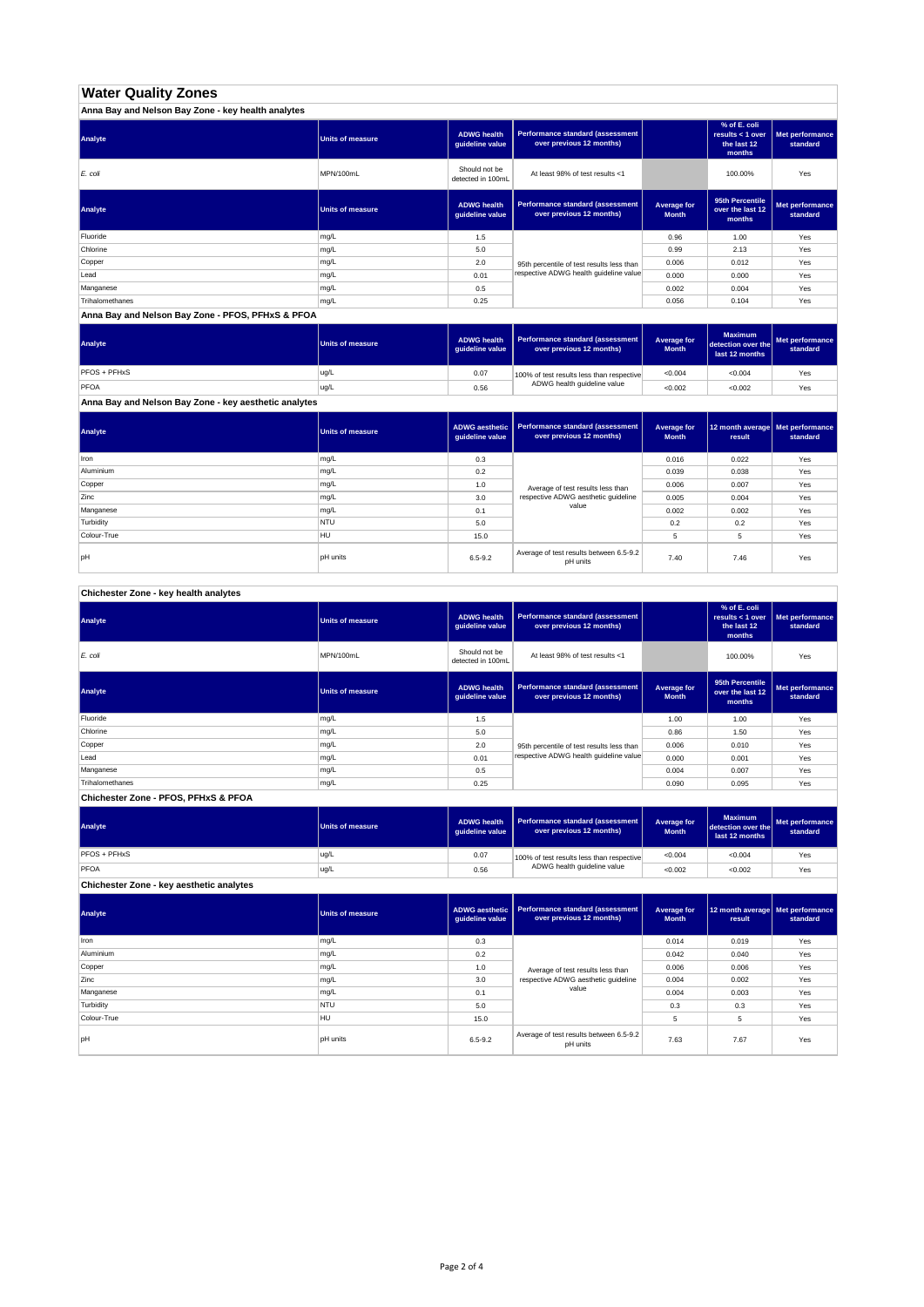# **Water Quality Zones**

| Anna Bay and Nelson Bay Zone - key health analytes |                  |                                       |                                                                     |                             |                                                           |                             |
|----------------------------------------------------|------------------|---------------------------------------|---------------------------------------------------------------------|-----------------------------|-----------------------------------------------------------|-----------------------------|
| Analyte                                            | Units of measure | <b>ADWG health</b><br>guideline value | <b>Performance standard (assessment</b><br>over previous 12 months) |                             | % of E. coli<br>results < 1 over<br>the last 12<br>months | Met performance<br>standard |
| E. coli                                            | MPN/100mL        | Should not be<br>detected in 100mL    | At least 98% of test results <1                                     |                             | 100.00%                                                   | Yes                         |
| Analyte                                            | Units of measure | <b>ADWG health</b><br>guideline value | Performance standard (assessment<br>over previous 12 months)        | Average for<br><b>Month</b> | 95th Percentile<br>over the last 12<br>months             | Met performance<br>standard |
| Fluoride                                           | mg/L             | 1.5                                   |                                                                     | 0.96                        | 1.00                                                      | Yes                         |
| Chlorine                                           | mg/L             | 5.0                                   |                                                                     | 0.99                        | 2.13                                                      | Yes                         |
| Copper                                             | mg/L             | 2.0                                   | 95th percentile of test results less than                           | 0.006                       | 0.012                                                     | Yes                         |
| Lead                                               | mg/L             | 0.01                                  | respective ADWG health quideline value                              | 0.000                       | 0.000                                                     | Yes                         |
| Manganese                                          | mg/L             | 0.5                                   |                                                                     | 0.002                       | 0.004                                                     | Yes                         |
| Trihalomethanes                                    | mg/L             | 0.25                                  |                                                                     | 0.056                       | 0.104                                                     | Yes                         |

**Anna Bay and Nelson Bay Zone - PFOS, PFHxS & PFOA**

| Analyte      | Units of measure | <b>ADWG health</b><br>quideline value | Performance standard (assessment<br>over previous 12 months) | <b>Average for</b><br><b>Month</b> | <b>Maximum</b><br>detection over the<br>last 12 months | Met performance<br>standard |
|--------------|------------------|---------------------------------------|--------------------------------------------------------------|------------------------------------|--------------------------------------------------------|-----------------------------|
| PFOS + PFHxS | ug/L             | 0.07                                  | 100% of test results less than respective                    | < 0.004                            | < 0.004                                                | Yes                         |
| PFOA         | ug/L             | 0.56                                  | ADWG health guideline value                                  | < 0.002                            | < 0.002                                                | Yes                         |

**Anna Bay and Nelson Bay Zone - key aesthetic analytes**

| Analyte     | Units of measure | ADWG aesthetic  <br>guideline value | Performance standard (assessment<br>over previous 12 months) | Average for<br><b>Month</b> | 12 month average   Met performance<br>result | standard |
|-------------|------------------|-------------------------------------|--------------------------------------------------------------|-----------------------------|----------------------------------------------|----------|
| Iron        | mg/L             | 0.3                                 |                                                              | 0.016                       | 0.022                                        | Yes      |
| Aluminium   | mg/L             | 0.2                                 |                                                              | 0.039                       | 0.038                                        | Yes      |
| Copper      | mg/L             | 1.0                                 | Average of test results less than                            | 0.006                       | 0.007                                        | Yes      |
| Zinc        | mg/L             | 3.0                                 | respective ADWG aesthetic quideline                          | 0.005                       | 0.004                                        | Yes      |
| Manganese   | mg/L             | 0.1                                 | value                                                        | 0.002                       | 0.002                                        | Yes      |
| Turbidity   | <b>NTU</b>       | 5.0                                 |                                                              | 0.2                         | 0.2                                          | Yes      |
| Colour-True | HU               | 15.0                                |                                                              |                             | 5                                            | Yes      |
| pH          | <b>pH</b> units  | $6.5 - 9.2$                         | Average of test results between 6.5-9.2<br>pH units          | 7.40                        | 7.46                                         | Yes      |

**Chichester Zone - key health analytes**

| Analyte         | <b>Units of measure</b> | <b>ADWG health</b><br>guideline value | Performance standard (assessment<br>over previous 12 months) |                             | % of E. coli<br>results $<$ 1 over<br>the last 12<br>months | Met performance<br>standard |
|-----------------|-------------------------|---------------------------------------|--------------------------------------------------------------|-----------------------------|-------------------------------------------------------------|-----------------------------|
| E. coli         | MPN/100mL               | Should not be<br>detected in 100mL    | At least 98% of test results <1                              |                             | 100.00%                                                     | Yes                         |
| Analyte         | <b>Units of measure</b> | <b>ADWG health</b><br>guideline value | Performance standard (assessment<br>over previous 12 months) | Average for<br><b>Month</b> | 95th Percentile<br>over the last 12<br>months               | Met performance<br>standard |
| Fluoride        | mg/L                    | 1.5                                   |                                                              | 1.00                        | 1.00                                                        | Yes                         |
| Chlorine        | mg/L                    | 5.0                                   |                                                              | 0.86                        | 1.50                                                        | Yes                         |
| Copper          | mg/L                    | 2.0                                   | 95th percentile of test results less than                    | 0.006                       | 0.010                                                       | Yes                         |
| Lead            | mg/L                    | 0.01                                  | respective ADWG health quideline value                       | 0.000                       | 0.001                                                       | Yes                         |
| Manganese       | mg/L                    | 0.5                                   |                                                              | 0.004                       | 0.007                                                       | Yes                         |
| Trihalomethanes | mg/L                    | 0.25                                  |                                                              | 0.090                       | 0.095                                                       | Yes                         |

**Chichester Zone - PFOS, PFHxS & PFOA**

| Analyte                                  | Units of measure | <b>ADWG health</b><br>auideline value | Performance standard (assessment<br>over previous 12 months) | Average for<br><b>Month</b> | <b>Maximum</b><br>detection over the<br>last 12 months | Met performance<br>standard |
|------------------------------------------|------------------|---------------------------------------|--------------------------------------------------------------|-----------------------------|--------------------------------------------------------|-----------------------------|
| <b>PFOS + PFHxS</b>                      | ug/L             | 0.07                                  | 100% of test results less than respective                    | < 0.004                     | < 0.004                                                | Yes                         |
| PFOA                                     | ug/L             | 0.56                                  | ADWG health guideline value                                  | < 0.002                     | < 0.002                                                | Yes                         |
| Chichester Zone - key aesthetic analytes |                  |                                       |                                                              |                             |                                                        |                             |

| Analyte     | <b>Units of measure</b> | ADWG aesthetic<br>guideline value | Performance standard (assessment<br>over previous 12 months) | Average for<br><b>Month</b> | 12 month average Met performance<br>result | standard |
|-------------|-------------------------|-----------------------------------|--------------------------------------------------------------|-----------------------------|--------------------------------------------|----------|
| Iron        | mg/L                    | 0.3                               |                                                              | 0.014                       | 0.019                                      | Yes      |
| Aluminium   | mg/L                    | 0.2                               |                                                              | 0.042                       | 0.040                                      | Yes      |
| Copper      | mg/L                    | 1.0                               | Average of test results less than                            | 0.006                       | 0.006                                      | Yes      |
| Zinc        | mg/L                    | 3.0                               | respective ADWG aesthetic quideline                          | 0.004                       | 0.002                                      | Yes      |
| Manganese   | mg/L                    | 0.1                               | value                                                        | 0.004                       | 0.003                                      | Yes      |
| Turbidity   | <b>NTU</b>              | 5.0                               |                                                              | 0.3                         | 0.3                                        | Yes      |
| Colour-True | <b>HU</b>               | 15.0                              |                                                              | 5                           | 5                                          | Yes      |
| pH          | <b>pH</b> units         | $6.5 - 9.2$                       | Average of test results between 6.5-9.2<br>pH units          | 7.63                        | 7.67                                       | Yes      |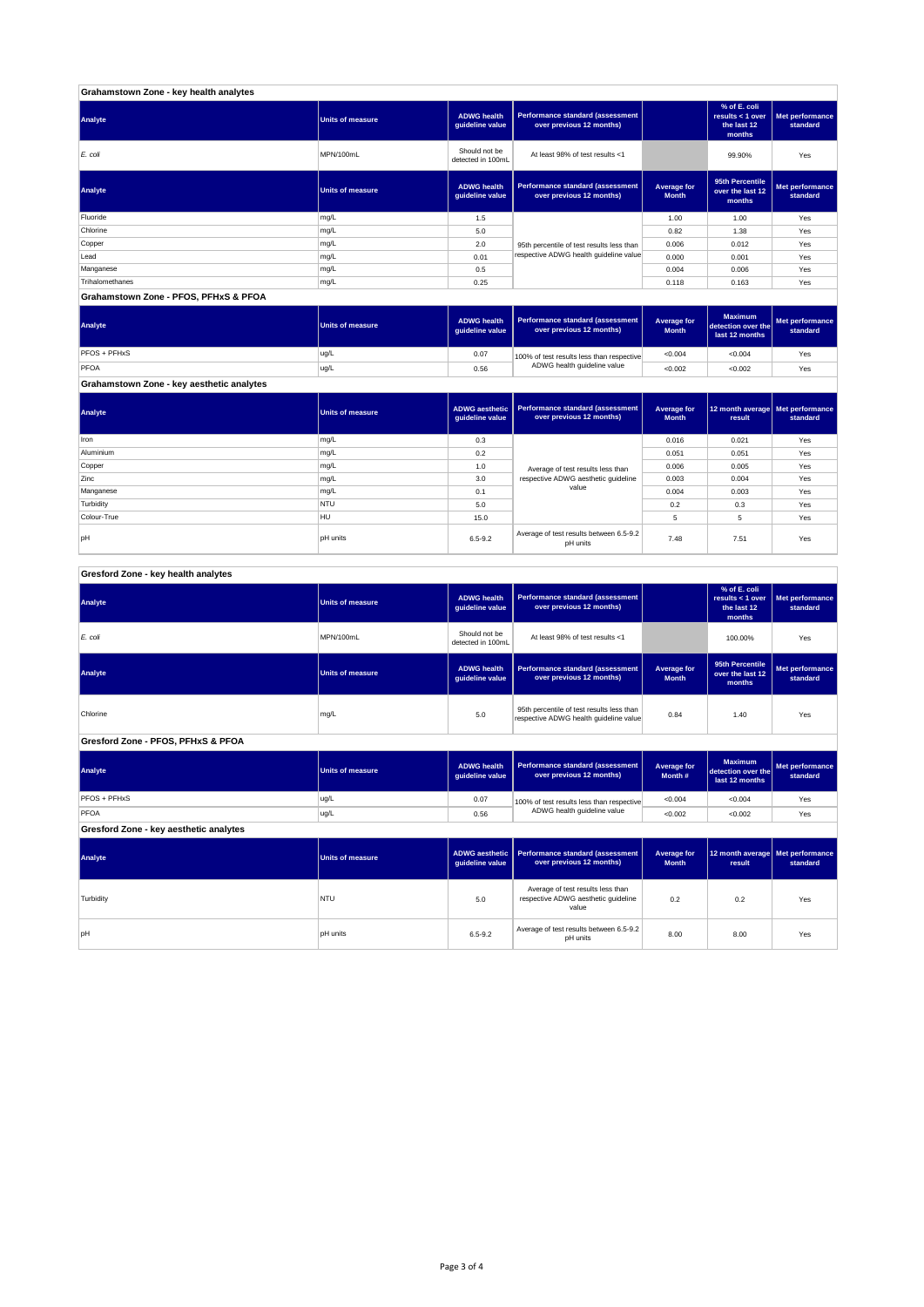| Grahamstown Zone - key health analytes |                         |                                       |                                                              |                             |                                                           |                             |
|----------------------------------------|-------------------------|---------------------------------------|--------------------------------------------------------------|-----------------------------|-----------------------------------------------------------|-----------------------------|
| Analyte                                | <b>Units of measure</b> | <b>ADWG health</b><br>quideline value | Performance standard (assessment<br>over previous 12 months) |                             | % of E. coli<br>results < 1 over<br>the last 12<br>months | Met performance<br>standard |
| E. coli                                | MPN/100mL               | Should not be<br>detected in 100mL    | At least 98% of test results <1                              |                             | 99.90%                                                    | Yes                         |
| Analyte                                | <b>Units of measure</b> | <b>ADWG health</b><br>quideline value | Performance standard (assessment<br>over previous 12 months) | Average for<br><b>Month</b> | 95th Percentile<br>over the last 12<br>months             | Met performance<br>standard |
| Fluoride                               | mg/L                    | 1.5                                   |                                                              | 1.00                        | 1.00                                                      | Yes                         |
| Chlorine                               | mg/L                    | 5.0                                   |                                                              | 0.82                        | 1.38                                                      | Yes                         |
| Copper                                 | mg/L                    | 2.0                                   | 95th percentile of test results less than                    | 0.006                       | 0.012                                                     | Yes                         |
| Lead                                   | mg/L                    | 0.01                                  | respective ADWG health guideline value                       | 0.000                       | 0.001                                                     | Yes                         |
| Manganese                              | mg/L                    | 0.5                                   |                                                              | 0.004                       | 0.006                                                     | Yes                         |
| Trihalomethanes                        | mg/L                    | 0.25                                  |                                                              | 0.118                       | 0.163                                                     | Yes                         |
| Grahamstown Zone - PFOS, PFHxS & PFOA  |                         |                                       |                                                              |                             |                                                           |                             |

**ADWG health guideline value Average for Month Maximum detection over the last 12 months Met performance standard** 0.07 100% of test results less than respective  $\sim 0.004$   $\sim 0.004$  Yes 0.56 <0.002 <0.002 Yes **Grahamstown Zone - key aesthetic analytes** PFOS + PFHxS ug/L PFOA ug/L 100% of test results less than respective ADWG health guideline value **Analyte Performance standard (assessment <b>Performance standard (assessment Performance standard (assessment Performance standard (assessment Performance standard (assessment** 

**ADWG aesthetic guideline value Average for Month 12 month average result Met performance standard** 0.3 0.016 0.021 Yes 0.2 0.051 0.051 Yes 1.0 average of text results less than 0.006 0.005  $\sim$  Yes 3.0 | respective ADWG aesthetic guideline | 0.003 | 0.004 | Yes 0.1 | <sup>carac</sup> | 0.004 | 0.003 | Yes 5.0 0.2 0.3 Yes 15.0 5 5 Yes pH pH units contract the set of test results between 6.5-9.2 7.48 7.51 Yes<br>pH pH units contract results between 5.5-9.2 8.5-9.2 7.48 7.51 Yes pH units Manganese mg/L and the material control of the material control of the material control of the material control of the material control of the material control of the material control of the material control of the materia **Turbidity** NTU Colour-True HULL Aluminium mg/L Copper mg/L Zinc mg/L **Analyte Performance standard (assessment <b>Performance standard (assessment Performance standard (assessment Performance standard (assessment performance standard (assessment**) Iron mg/L Average of test results less than respective ADWG aesthetic guideline value

#### **ADWG health guideline value % of E. coli results < 1 over the last 12 months Met performance standard** Should not be<br>detected in 100ml detected in 100mL 100.00% Yes *E. coli* MPN/100mL At least 98% of test results <1 **ADWG health guideline value Average for Month 95th Percentile over the last 12 months Met performance standard** mg/L 95.0 percentile of test results less than percentile of test respective ADWG health guideline value of the metalline of the metalline value of the metalline value of the metalline value of the metalline value of the m **ADWG health guideline value Average for Month # Maximum detection over the last 12 months Met performance standard** 0.07 100% of test results less than respective  $\sim 0.004$   $\sim 0.004$  Yes 0.56 <0.002 <0.002 Yes **ADWG aesthetic guideline value Average for Month 12 month average result Met performance standard** 5.0 0.2 0.2 Yes Average of test results less than respective ADWG aesthetic guideline pH units 6.5-9.2 Average of test results between 6.5-9.2 8.00 8.00 Yes<br>Average of test results between 6.5-9.2 and 8.00 9.00 Yes **Gresford Zone - key aesthetic analytes Analyte Performance standard (assessment Performance standard (assessment Performance standard (assessment Performance standard (assessment performance standard (assessment**) **Turbidity** NTU value PFOS + PFHxS ug/L PFOA ug/L 100% of test results less than respective ADWG health guideline value **Gresford Zone - PFOS, PFHxS & PFOA Analyte Performance standard (assessment <b>Performance standard (assessment Performance standard (assessment Performance standard (assessment performance standard (assessment Analyte Performance standard (assessment <b>Performance standard (assessment Performance standard (assessment Performance standard (assessment Performance standard (assessment Gresford Zone - key health analytes Analyte Performance standard (assessment Performance standard (assessment Performance standard (assessment Performance standard (assessment performance standard (assessment**